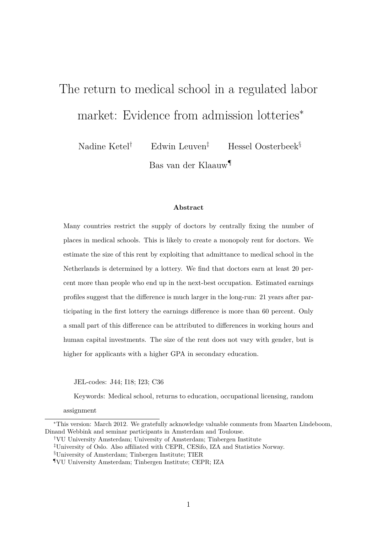# The return to medical school in a regulated labor market: Evidence from admission lotteries<sup>\*</sup>

Nadine Ketel*†* Edwin Leuven*‡* Hessel Oosterbeek*§* Bas van der Klaauw*¶*

#### **Abstract**

Many countries restrict the supply of doctors by centrally fixing the number of places in medical schools. This is likely to create a monopoly rent for doctors. We estimate the size of this rent by exploiting that admittance to medical school in the Netherlands is determined by a lottery. We find that doctors earn at least 20 percent more than people who end up in the next-best occupation. Estimated earnings profiles suggest that the difference is much larger in the long-run: 21 years after participating in the first lottery the earnings difference is more than 60 percent. Only a small part of this difference can be attributed to differences in working hours and human capital investments. The size of the rent does not vary with gender, but is higher for applicants with a higher GPA in secondary education.

JEL-codes: J44; I18; I23; C36

Keywords: Medical school, returns to education, occupational licensing, random

assignment

<sup>\*</sup>This version: March 2012. We gratefully acknowledge valuable comments from Maarten Lindeboom, Dinand Webbink and seminar participants in Amsterdam and Toulouse.

*<sup>†</sup>*VU University Amsterdam; University of Amsterdam; Tinbergen Institute

<sup>&</sup>lt;sup>‡</sup>University of Oslo. Also affiliated with CEPR, CESifo, IZA and Statistics Norway.

*<sup>§</sup>*University of Amsterdam; Tinbergen Institute; TIER

*<sup>¶</sup>*VU University Amsterdam; Tinbergen Institute; CEPR; IZA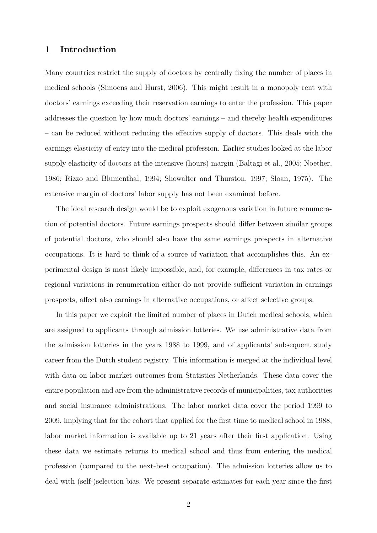## **1 Introduction**

Many countries restrict the supply of doctors by centrally fixing the number of places in medical schools (Simoens and Hurst, 2006). This might result in a monopoly rent with doctors' earnings exceeding their reservation earnings to enter the profession. This paper addresses the question by how much doctors' earnings – and thereby health expenditures – can be reduced without reducing the effective supply of doctors. This deals with the earnings elasticity of entry into the medical profession. Earlier studies looked at the labor supply elasticity of doctors at the intensive (hours) margin (Baltagi et al., 2005; Noether, 1986; Rizzo and Blumenthal, 1994; Showalter and Thurston, 1997; Sloan, 1975). The extensive margin of doctors' labor supply has not been examined before.

The ideal research design would be to exploit exogenous variation in future renumeration of potential doctors. Future earnings prospects should differ between similar groups of potential doctors, who should also have the same earnings prospects in alternative occupations. It is hard to think of a source of variation that accomplishes this. An experimental design is most likely impossible, and, for example, differences in tax rates or regional variations in renumeration either do not provide sufficient variation in earnings prospects, affect also earnings in alternative occupations, or affect selective groups.

In this paper we exploit the limited number of places in Dutch medical schools, which are assigned to applicants through admission lotteries. We use administrative data from the admission lotteries in the years 1988 to 1999, and of applicants' subsequent study career from the Dutch student registry. This information is merged at the individual level with data on labor market outcomes from Statistics Netherlands. These data cover the entire population and are from the administrative records of municipalities, tax authorities and social insurance administrations. The labor market data cover the period 1999 to 2009, implying that for the cohort that applied for the first time to medical school in 1988, labor market information is available up to 21 years after their first application. Using these data we estimate returns to medical school and thus from entering the medical profession (compared to the next-best occupation). The admission lotteries allow us to deal with (self-)selection bias. We present separate estimates for each year since the first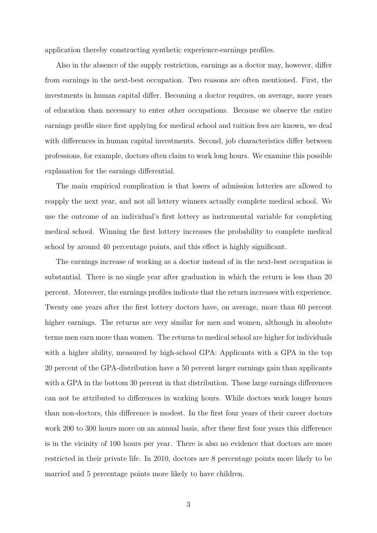application thereby constructing synthetic experience-earnings profiles.

Also in the absence of the supply restriction, earnings as a doctor may, however, differ from earnings in the next-best occupation. Two reasons are often mentioned. First, the investments in human capital differ. Becoming a doctor requires, on average, more years of education than necessary to enter other occupations. Because we observe the entire earnings profile since first applying for medical school and tuition fees are known, we deal with differences in human capital investments. Second, job characteristics differ between professions, for example, doctors often claim to work long hours. We examine this possible explanation for the earnings differential.

The main empirical complication is that losers of admission lotteries are allowed to reapply the next year, and not all lottery winners actually complete medical school. We use the outcome of an individual's first lottery as instrumental variable for completing medical school. Winning the first lottery increases the probability to complete medical school by around 40 percentage points, and this effect is highly significant.

The earnings increase of working as a doctor instead of in the next-best occupation is substantial. There is no single year after graduation in which the return is less than 20 percent. Moreover, the earnings profiles indicate that the return increases with experience. Twenty one years after the first lottery doctors have, on average, more than 60 percent higher earnings. The returns are very similar for men and women, although in absolute terms men earn more than women. The returns to medical school are higher for individuals with a higher ability, measured by high-school GPA: Applicants with a GPA in the top 20 percent of the GPA-distribution have a 50 percent larger earnings gain than applicants with a GPA in the bottom 30 percent in that distribution. These large earnings differences can not be attributed to differences in working hours. While doctors work longer hours than non-doctors, this difference is modest. In the first four years of their career doctors work 200 to 300 hours more on an annual basis, after these first four years this difference is in the vicinity of 100 hours per year. There is also no evidence that doctors are more restricted in their private life. In 2010, doctors are 8 percentage points more likely to be married and 5 percentage points more likely to have children.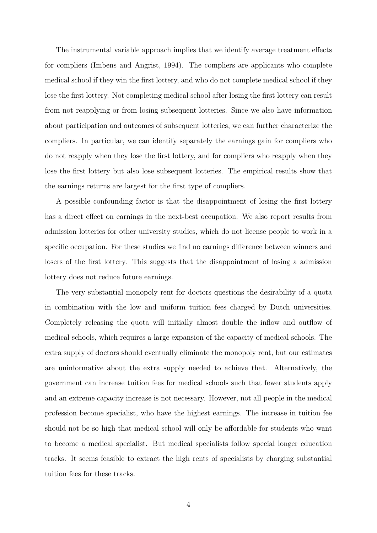The instrumental variable approach implies that we identify average treatment effects for compliers (Imbens and Angrist, 1994). The compliers are applicants who complete medical school if they win the first lottery, and who do not complete medical school if they lose the first lottery. Not completing medical school after losing the first lottery can result from not reapplying or from losing subsequent lotteries. Since we also have information about participation and outcomes of subsequent lotteries, we can further characterize the compliers. In particular, we can identify separately the earnings gain for compliers who do not reapply when they lose the first lottery, and for compliers who reapply when they lose the first lottery but also lose subsequent lotteries. The empirical results show that the earnings returns are largest for the first type of compliers.

A possible confounding factor is that the disappointment of losing the first lottery has a direct effect on earnings in the next-best occupation. We also report results from admission lotteries for other university studies, which do not license people to work in a specific occupation. For these studies we find no earnings difference between winners and losers of the first lottery. This suggests that the disappointment of losing a admission lottery does not reduce future earnings.

The very substantial monopoly rent for doctors questions the desirability of a quota in combination with the low and uniform tuition fees charged by Dutch universities. Completely releasing the quota will initially almost double the inflow and outflow of medical schools, which requires a large expansion of the capacity of medical schools. The extra supply of doctors should eventually eliminate the monopoly rent, but our estimates are uninformative about the extra supply needed to achieve that. Alternatively, the government can increase tuition fees for medical schools such that fewer students apply and an extreme capacity increase is not necessary. However, not all people in the medical profession become specialist, who have the highest earnings. The increase in tuition fee should not be so high that medical school will only be affordable for students who want to become a medical specialist. But medical specialists follow special longer education tracks. It seems feasible to extract the high rents of specialists by charging substantial tuition fees for these tracks.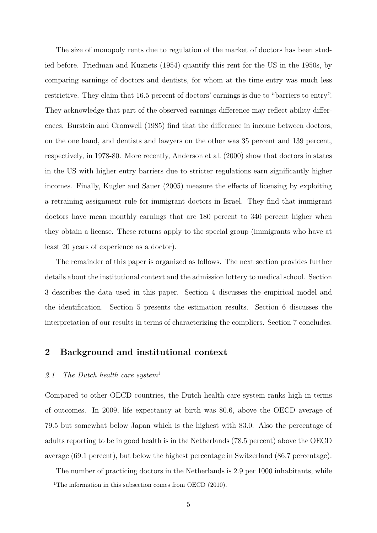The size of monopoly rents due to regulation of the market of doctors has been studied before. Friedman and Kuznets (1954) quantify this rent for the US in the 1950s, by comparing earnings of doctors and dentists, for whom at the time entry was much less restrictive. They claim that 16.5 percent of doctors' earnings is due to "barriers to entry". They acknowledge that part of the observed earnings difference may reflect ability differences. Burstein and Cromwell (1985) find that the difference in income between doctors, on the one hand, and dentists and lawyers on the other was 35 percent and 139 percent, respectively, in 1978-80. More recently, Anderson et al. (2000) show that doctors in states in the US with higher entry barriers due to stricter regulations earn significantly higher incomes. Finally, Kugler and Sauer (2005) measure the effects of licensing by exploiting a retraining assignment rule for immigrant doctors in Israel. They find that immigrant doctors have mean monthly earnings that are 180 percent to 340 percent higher when they obtain a license. These returns apply to the special group (immigrants who have at least 20 years of experience as a doctor).

The remainder of this paper is organized as follows. The next section provides further details about the institutional context and the admission lottery to medical school. Section 3 describes the data used in this paper. Section 4 discusses the empirical model and the identification. Section 5 presents the estimation results. Section 6 discusses the interpretation of our results in terms of characterizing the compliers. Section 7 concludes.

## **2 Background and institutional context**

# *2.1 The Dutch health care system*<sup>1</sup>

Compared to other OECD countries, the Dutch health care system ranks high in terms of outcomes. In 2009, life expectancy at birth was 80.6, above the OECD average of 79.5 but somewhat below Japan which is the highest with 83.0. Also the percentage of adults reporting to be in good health is in the Netherlands (78.5 percent) above the OECD average (69.1 percent), but below the highest percentage in Switzerland (86.7 percentage).

The number of practicing doctors in the Netherlands is 2.9 per 1000 inhabitants, while

<sup>&</sup>lt;sup>1</sup>The information in this subsection comes from OECD  $(2010)$ .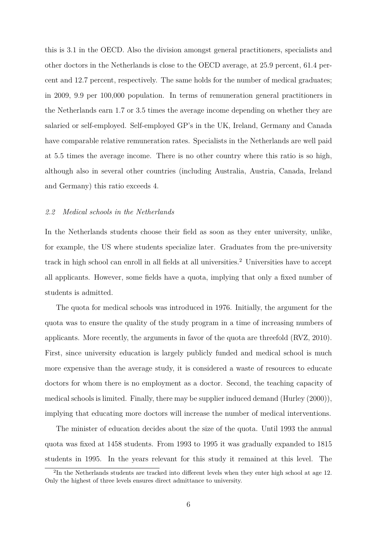this is 3.1 in the OECD. Also the division amongst general practitioners, specialists and other doctors in the Netherlands is close to the OECD average, at 25.9 percent, 61.4 percent and 12.7 percent, respectively. The same holds for the number of medical graduates; in 2009, 9.9 per 100,000 population. In terms of remuneration general practitioners in the Netherlands earn 1.7 or 3.5 times the average income depending on whether they are salaried or self-employed. Self-employed GP's in the UK, Ireland, Germany and Canada have comparable relative remuneration rates. Specialists in the Netherlands are well paid at 5.5 times the average income. There is no other country where this ratio is so high, although also in several other countries (including Australia, Austria, Canada, Ireland and Germany) this ratio exceeds 4.

#### *2.2 Medical schools in the Netherlands*

In the Netherlands students choose their field as soon as they enter university, unlike, for example, the US where students specialize later. Graduates from the pre-university track in high school can enroll in all fields at all universities.<sup>2</sup> Universities have to accept all applicants. However, some fields have a quota, implying that only a fixed number of students is admitted.

The quota for medical schools was introduced in 1976. Initially, the argument for the quota was to ensure the quality of the study program in a time of increasing numbers of applicants. More recently, the arguments in favor of the quota are threefold (RVZ, 2010). First, since university education is largely publicly funded and medical school is much more expensive than the average study, it is considered a waste of resources to educate doctors for whom there is no employment as a doctor. Second, the teaching capacity of medical schools is limited. Finally, there may be supplier induced demand (Hurley (2000)), implying that educating more doctors will increase the number of medical interventions.

The minister of education decides about the size of the quota. Until 1993 the annual quota was fixed at 1458 students. From 1993 to 1995 it was gradually expanded to 1815 students in 1995. In the years relevant for this study it remained at this level. The

 ${}^{2}$ In the Netherlands students are tracked into different levels when they enter high school at age 12. Only the highest of three levels ensures direct admittance to university.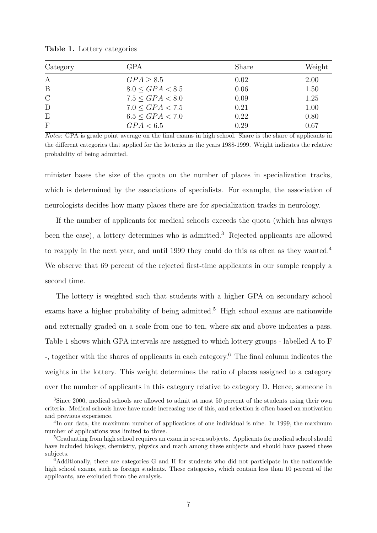| Category         | <b>GPA</b>           | Share | Weight |
|------------------|----------------------|-------|--------|
| $\boldsymbol{A}$ | GPA > 8.5            | 0.02  | 2.00   |
| B                | $8.0 \leq GPA < 8.5$ | 0.06  | 1.50   |
| $\mathcal{C}$    | $7.5 \le GPA < 8.0$  | 0.09  | 1.25   |
| D                | $7.0 \leq GPA < 7.5$ | 0.21  | 1.00   |
| E                | $6.5 \leq GPA < 7.0$ | 0.22  | 0.80   |
| $\mathbf{F}$     | GPA < 6.5            | 0.29  | 0.67   |

**Table 1.** Lottery categories

*Notes*: GPA is grade point average on the final exams in high school. Share is the share of applicants in the different categories that applied for the lotteries in the years 1988-1999. Weight indicates the relative probability of being admitted.

minister bases the size of the quota on the number of places in specialization tracks, which is determined by the associations of specialists. For example, the association of neurologists decides how many places there are for specialization tracks in neurology.

If the number of applicants for medical schools exceeds the quota (which has always been the case), a lottery determines who is admitted.<sup>3</sup> Rejected applicants are allowed to reapply in the next year, and until 1999 they could do this as often as they wanted.<sup>4</sup> We observe that 69 percent of the rejected first-time applicants in our sample reapply a second time.

The lottery is weighted such that students with a higher GPA on secondary school exams have a higher probability of being admitted.<sup>5</sup> High school exams are nationwide and externally graded on a scale from one to ten, where six and above indicates a pass. Table 1 shows which GPA intervals are assigned to which lottery groups - labelled A to F -, together with the shares of applicants in each category.<sup>6</sup> The final column indicates the weights in the lottery. This weight determines the ratio of places assigned to a category over the number of applicants in this category relative to category D. Hence, someone in

<sup>3</sup>Since 2000, medical schools are allowed to admit at most 50 percent of the students using their own criteria. Medical schools have have made increasing use of this, and selection is often based on motivation and previous experience.

<sup>4</sup>In our data, the maximum number of applications of one individual is nine. In 1999, the maximum number of applications was limited to three.

<sup>5</sup>Graduating from high school requires an exam in seven subjects. Applicants for medical school should have included biology, chemistry, physics and math among these subjects and should have passed these subjects.

 $\epsilon$ <sup>6</sup>Additionally, there are categories G and H for students who did not participate in the nationwide high school exams, such as foreign students. These categories, which contain less than 10 percent of the applicants, are excluded from the analysis.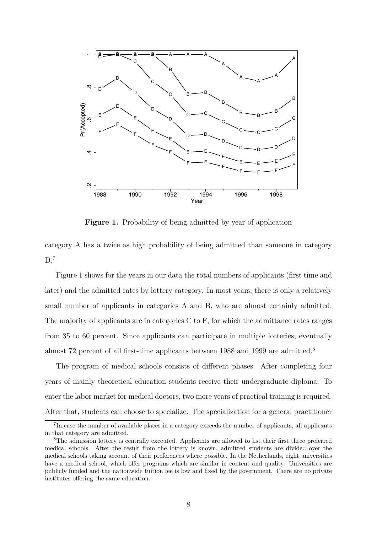

**Figure 1.** Probability of being admitted by year of application

category A has a twice as high probability of being admitted than someone in category  $D.<sup>7</sup>$ 

Figure 1 shows for the years in our data the total numbers of applicants (first time and later) and the admitted rates by lottery category. In most years, there is only a relatively small number of applicants in categories A and B, who are almost certainly admitted. The majority of applicants are in categories  $C$  to  $F$ , for which the admittance rates ranges from 35 to 60 percent. Since applicants can participate in multiple lotteries, eventually almost 72 percent of all first-time applicants between 1988 and 1999 are admitted.<sup>8</sup>

The program of medical schools consists of different phases. After completing four years of mainly theoretical education students receive their undergraduate diploma. To enter the labor market for medical doctors, two more years of practical training is required. After that, students can choose to specialize. The specialization for a general practitioner

<sup>&</sup>lt;sup>7</sup>In case the number of available places in a category exceeds the number of applicants, all applicants in that category are admitted.

<sup>8</sup>The admission lottery is centrally executed. Applicants are allowed to list their first three preferred medical schools. After the result from the lottery is known, admitted students are divided over the medical schools taking account of their preferences where possible. In the Netherlands, eight universities have a medical school, which offer programs which are similar in content and quality. Universities are publicly funded and the nationwide tuition fee is low and fixed by the government. There are no private institutes offering the same education.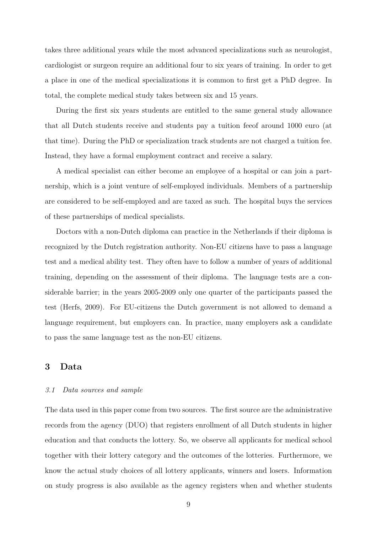takes three additional years while the most advanced specializations such as neurologist, cardiologist or surgeon require an additional four to six years of training. In order to get a place in one of the medical specializations it is common to first get a PhD degree. In total, the complete medical study takes between six and 15 years.

During the first six years students are entitled to the same general study allowance that all Dutch students receive and students pay a tuition feeof around 1000 euro (at that time). During the PhD or specialization track students are not charged a tuition fee. Instead, they have a formal employment contract and receive a salary.

A medical specialist can either become an employee of a hospital or can join a partnership, which is a joint venture of self-employed individuals. Members of a partnership are considered to be self-employed and are taxed as such. The hospital buys the services of these partnerships of medical specialists.

Doctors with a non-Dutch diploma can practice in the Netherlands if their diploma is recognized by the Dutch registration authority. Non-EU citizens have to pass a language test and a medical ability test. They often have to follow a number of years of additional training, depending on the assessment of their diploma. The language tests are a considerable barrier; in the years 2005-2009 only one quarter of the participants passed the test (Herfs, 2009). For EU-citizens the Dutch government is not allowed to demand a language requirement, but employers can. In practice, many employers ask a candidate to pass the same language test as the non-EU citizens.

# **3 Data**

#### *3.1 Data sources and sample*

The data used in this paper come from two sources. The first source are the administrative records from the agency (DUO) that registers enrollment of all Dutch students in higher education and that conducts the lottery. So, we observe all applicants for medical school together with their lottery category and the outcomes of the lotteries. Furthermore, we know the actual study choices of all lottery applicants, winners and losers. Information on study progress is also available as the agency registers when and whether students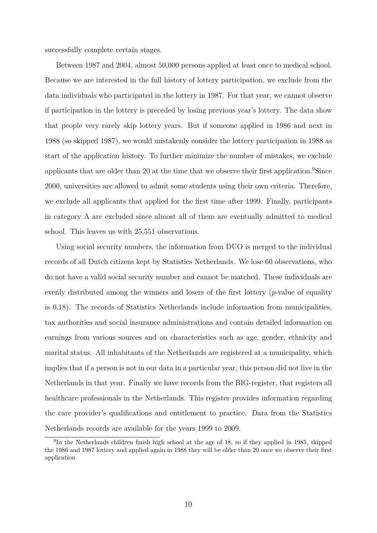successfully complete certain stages.

Between 1987 and 2004, almost 50,000 persons applied at least once to medical school. Because we are interested in the full history of lottery participation, we exclude from the data individuals who participated in the lottery in 1987. For that year, we cannot observe if participation in the lottery is preceded by losing previous year's lottery. The data show that people very rarely skip lottery years. But if someone applied in 1986 and next in 1988 (so skipped 1987), we would mistakenly consider the lottery participation in 1988 as start of the application history. To further minimize the number of mistakes, we exclude applicants that are older than 20 at the time that we observe their first application.<sup>9</sup>Since 2000, universities are allowed to admit some students using their own criteria. Therefore, we exclude all applicants that applied for the first time after 1999. Finally, participants in category A are excluded since almost all of them are eventually admitted to medical school. This leaves us with 25,551 observations.

Using social security numbers, the information from DUO is merged to the individual records of all Dutch citizens kept by Statistics Netherlands. We lose 60 observations, who do not have a valid social security number and cannot be matched. These individuals are evenly distributed among the winners and losers of the first lottery (*p*-value of equality is 0.18). The records of Statistics Netherlands include information from municipalities, tax authorities and social insurance administrations and contain detailed information on earnings from various sources and on characteristics such as age, gender, ethnicity and marital status. All inhabitants of the Netherlands are registered at a municipality, which implies that if a person is not in our data in a particular year, this person did not live in the Netherlands in that year. Finally we have records from the BIG-register, that registers all healthcare professionals in the Netherlands. This register provides information regarding the care provider's qualifications and entitlement to practice. Data from the Statistics Netherlands records are available for the years 1999 to 2009.

<sup>9</sup>In the Netherlands children finish high school at the age of 18, so if they applied in 1985, skipped the 1986 and 1987 lottery and applied again in 1988 they will be older than 20 once we observe their first application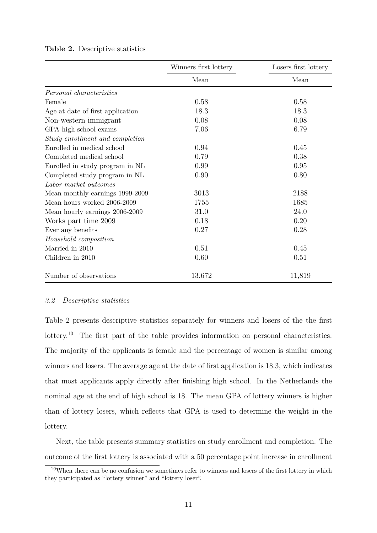|                                  | Winners first lottery | Losers first lottery |
|----------------------------------|-----------------------|----------------------|
|                                  | Mean                  | Mean                 |
| Personal characteristics         |                       |                      |
| Female                           | 0.58                  | 0.58                 |
| Age at date of first application | 18.3                  | 18.3                 |
| Non-western immigrant            | 0.08                  | 0.08                 |
| GPA high school exams            | 7.06                  | 6.79                 |
| Study enrollment and completion  |                       |                      |
| Enrolled in medical school       | 0.94                  | 0.45                 |
| Completed medical school         | 0.79                  | 0.38                 |
| Enrolled in study program in NL  | 0.99                  | 0.95                 |
| Completed study program in NL    | 0.90                  | 0.80                 |
| Labor market outcomes            |                       |                      |
| Mean monthly earnings 1999-2009  | 3013                  | 2188                 |
| Mean hours worked 2006-2009      | 1755                  | 1685                 |
| Mean hourly earnings 2006-2009   | 31.0                  | 24.0                 |
| Works part time 2009             | 0.18                  | 0.20                 |
| Ever any benefits                | 0.27                  | 0.28                 |
| Household composition            |                       |                      |
| Married in 2010                  | 0.51                  | 0.45                 |
| Children in 2010                 | 0.60                  | 0.51                 |
| Number of observations           | 13,672                | 11,819               |

#### **Table 2.** Descriptive statistics

#### *3.2 Descriptive statistics*

Table 2 presents descriptive statistics separately for winners and losers of the the first lottery.<sup>10</sup> The first part of the table provides information on personal characteristics. The majority of the applicants is female and the percentage of women is similar among winners and losers. The average age at the date of first application is 18.3, which indicates that most applicants apply directly after finishing high school. In the Netherlands the nominal age at the end of high school is 18. The mean GPA of lottery winners is higher than of lottery losers, which reflects that GPA is used to determine the weight in the lottery.

Next, the table presents summary statistics on study enrollment and completion. The outcome of the first lottery is associated with a 50 percentage point increase in enrollment

 $10$ When there can be no confusion we sometimes refer to winners and losers of the first lottery in which they participated as "lottery winner" and "lottery loser".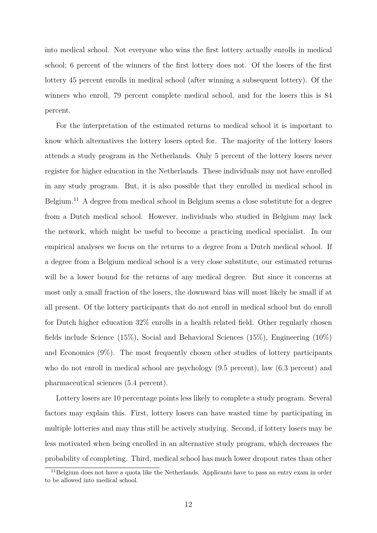into medical school. Not everyone who wins the first lottery actually enrolls in medical school; 6 percent of the winners of the first lottery does not. Of the losers of the first lottery 45 percent enrolls in medical school (after winning a subsequent lottery). Of the winners who enroll, 79 percent complete medical school, and for the losers this is 84 percent.

For the interpretation of the estimated returns to medical school it is important to know which alternatives the lottery losers opted for. The majority of the lottery losers attends a study program in the Netherlands. Only 5 percent of the lottery losers never register for higher education in the Netherlands. These individuals may not have enrolled in any study program. But, it is also possible that they enrolled in medical school in Belgium.<sup>11</sup> A degree from medical school in Belgium seems a close substitute for a degree from a Dutch medical school. However, individuals who studied in Belgium may lack the network, which might be useful to become a practicing medical specialist. In our empirical analyses we focus on the returns to a degree from a Dutch medical school. If a degree from a Belgium medical school is a very close substitute, our estimated returns will be a lower bound for the returns of any medical degree. But since it concerns at most only a small fraction of the losers, the downward bias will most likely be small if at all present. Of the lottery participants that do not enroll in medical school but do enroll for Dutch higher education 32% enrolls in a health related field. Other regularly chosen fields include Science (15%), Social and Behavioral Sciences (15%), Engineering (10%) and Economics (9%). The most frequently chosen other studies of lottery participants who do not enroll in medical school are psychology (9.5 percent), law (6.3 percent) and pharmaceutical sciences (5.4 percent).

Lottery losers are 10 percentage points less likely to complete a study program. Several factors may explain this. First, lottery losers can have wasted time by participating in multiple lotteries and may thus still be actively studying. Second, if lottery losers may be less motivated when being enrolled in an alternative study program, which decreases the probability of completing. Third, medical school has much lower dropout rates than other

<sup>&</sup>lt;sup>11</sup>Belgium does not have a quota like the Netherlands. Applicants have to pass an entry exam in order to be allowed into medical school.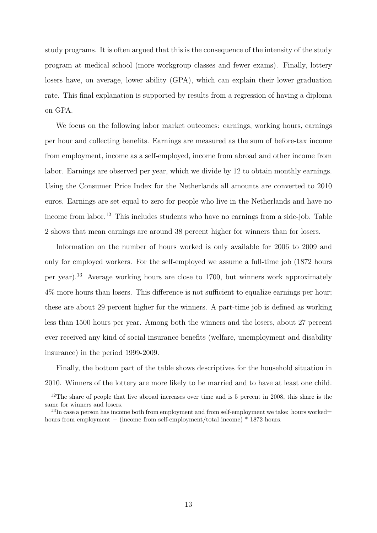study programs. It is often argued that this is the consequence of the intensity of the study program at medical school (more workgroup classes and fewer exams). Finally, lottery losers have, on average, lower ability (GPA), which can explain their lower graduation rate. This final explanation is supported by results from a regression of having a diploma on GPA.

We focus on the following labor market outcomes: earnings, working hours, earnings per hour and collecting benefits. Earnings are measured as the sum of before-tax income from employment, income as a self-employed, income from abroad and other income from labor. Earnings are observed per year, which we divide by 12 to obtain monthly earnings. Using the Consumer Price Index for the Netherlands all amounts are converted to 2010 euros. Earnings are set equal to zero for people who live in the Netherlands and have no income from labor.<sup>12</sup> This includes students who have no earnings from a side-job. Table 2 shows that mean earnings are around 38 percent higher for winners than for losers.

Information on the number of hours worked is only available for 2006 to 2009 and only for employed workers. For the self-employed we assume a full-time job (1872 hours per year).<sup>13</sup> Average working hours are close to 1700, but winners work approximately 4% more hours than losers. This difference is not sufficient to equalize earnings per hour; these are about 29 percent higher for the winners. A part-time job is defined as working less than 1500 hours per year. Among both the winners and the losers, about 27 percent ever received any kind of social insurance benefits (welfare, unemployment and disability insurance) in the period 1999-2009.

Finally, the bottom part of the table shows descriptives for the household situation in 2010. Winners of the lottery are more likely to be married and to have at least one child.

<sup>&</sup>lt;sup>12</sup>The share of people that live abroad increases over time and is 5 percent in 2008, this share is the same for winners and losers.

<sup>&</sup>lt;sup>13</sup>In case a person has income both from employment and from self-employment we take: hours worked= hours from employment + (income from self-employment/total income) \* 1872 hours.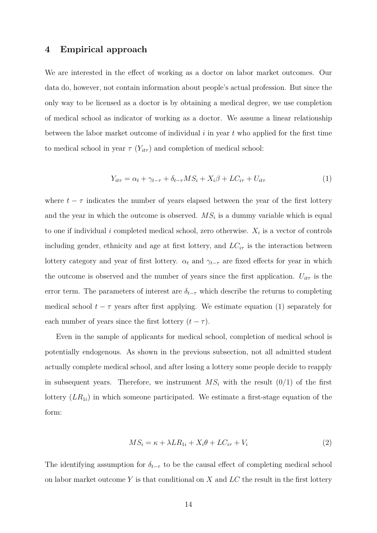#### **4 Empirical approach**

We are interested in the effect of working as a doctor on labor market outcomes. Our data do, however, not contain information about people's actual profession. But since the only way to be licensed as a doctor is by obtaining a medical degree, we use completion of medical school as indicator of working as a doctor. We assume a linear relationship between the labor market outcome of individual *i* in year *t* who applied for the first time to medical school in year  $\tau(Y_{it\tau})$  and completion of medical school:

$$
Y_{it\tau} = \alpha_t + \gamma_{t-\tau} + \delta_{t-\tau} MS_i + X_i \beta + LC_{i\tau} + U_{it\tau}
$$
\n<sup>(1)</sup>

where  $t - \tau$  indicates the number of years elapsed between the year of the first lottery and the year in which the outcome is observed.  $MS<sub>i</sub>$  is a dummy variable which is equal to one if individual *i* completed medical school, zero otherwise.  $X_i$  is a vector of controls including gender, ethnicity and age at first lottery, and  $LC_{i\tau}$  is the interaction between lottery category and year of first lottery.  $\alpha_t$  and  $\gamma_{t-\tau}$  are fixed effects for year in which the outcome is observed and the number of years since the first application.  $U_{it\tau}$  is the error term. The parameters of interest are  $\delta_{t-\tau}$  which describe the returns to completing medical school  $t - \tau$  years after first applying. We estimate equation (1) separately for each number of years since the first lottery  $(t - \tau)$ .

Even in the sample of applicants for medical school, completion of medical school is potentially endogenous. As shown in the previous subsection, not all admitted student actually complete medical school, and after losing a lottery some people decide to reapply in subsequent years. Therefore, we instrument  $MS_i$  with the result  $(0/1)$  of the first lottery (*LR*<sup>1</sup>*i*) in which someone participated. We estimate a first-stage equation of the form:

$$
MS_i = \kappa + \lambda LR_{1i} + X_i \theta + LC_{i\tau} + V_i \tag{2}
$$

The identifying assumption for  $\delta_{t-\tau}$  to be the causal effect of completing medical school on labor market outcome *Y* is that conditional on *X* and *LC* the result in the first lottery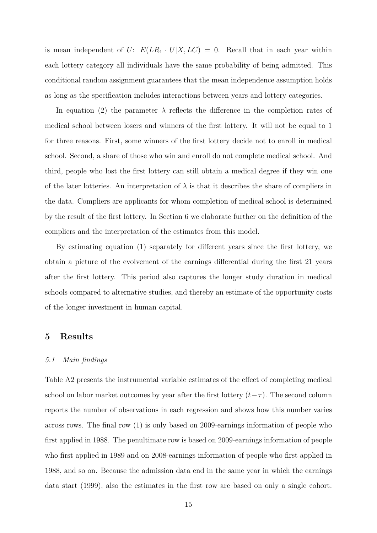is mean independent of  $U: E(LR_1 \cdot U | X, LC) = 0$ . Recall that in each year within each lottery category all individuals have the same probability of being admitted. This conditional random assignment guarantees that the mean independence assumption holds as long as the specification includes interactions between years and lottery categories.

In equation (2) the parameter  $\lambda$  reflects the difference in the completion rates of medical school between losers and winners of the first lottery. It will not be equal to 1 for three reasons. First, some winners of the first lottery decide not to enroll in medical school. Second, a share of those who win and enroll do not complete medical school. And third, people who lost the first lottery can still obtain a medical degree if they win one of the later lotteries. An interpretation of  $\lambda$  is that it describes the share of compliers in the data. Compliers are applicants for whom completion of medical school is determined by the result of the first lottery. In Section 6 we elaborate further on the definition of the compliers and the interpretation of the estimates from this model.

By estimating equation  $(1)$  separately for different years since the first lottery, we obtain a picture of the evolvement of the earnings differential during the first 21 years after the first lottery. This period also captures the longer study duration in medical schools compared to alternative studies, and thereby an estimate of the opportunity costs of the longer investment in human capital.

### **5 Results**

#### *5.1 Main findings*

Table A2 presents the instrumental variable estimates of the effect of completing medical school on labor market outcomes by year after the first lottery  $(t-\tau)$ . The second column reports the number of observations in each regression and shows how this number varies across rows. The final row (1) is only based on 2009-earnings information of people who first applied in 1988. The penultimate row is based on 2009-earnings information of people who first applied in 1989 and on 2008-earnings information of people who first applied in 1988, and so on. Because the admission data end in the same year in which the earnings data start (1999), also the estimates in the first row are based on only a single cohort.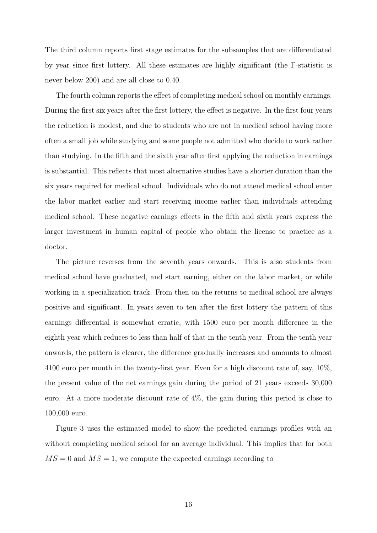The third column reports first stage estimates for the subsamples that are differentiated by year since first lottery. All these estimates are highly significant (the F-statistic is never below 200) and are all close to 0.40.

The fourth column reports the effect of completing medical school on monthly earnings. During the first six years after the first lottery, the effect is negative. In the first four years the reduction is modest, and due to students who are not in medical school having more often a small job while studying and some people not admitted who decide to work rather than studying. In the fifth and the sixth year after first applying the reduction in earnings is substantial. This reflects that most alternative studies have a shorter duration than the six years required for medical school. Individuals who do not attend medical school enter the labor market earlier and start receiving income earlier than individuals attending medical school. These negative earnings effects in the fifth and sixth years express the larger investment in human capital of people who obtain the license to practice as a doctor.

The picture reverses from the seventh years onwards. This is also students from medical school have graduated, and start earning, either on the labor market, or while working in a specialization track. From then on the returns to medical school are always positive and significant. In years seven to ten after the first lottery the pattern of this earnings differential is somewhat erratic, with 1500 euro per month difference in the eighth year which reduces to less than half of that in the tenth year. From the tenth year onwards, the pattern is clearer, the difference gradually increases and amounts to almost 4100 euro per month in the twenty-first year. Even for a high discount rate of, say, 10%, the present value of the net earnings gain during the period of 21 years exceeds 30,000 euro. At a more moderate discount rate of 4%, the gain during this period is close to 100,000 euro.

Figure 3 uses the estimated model to show the predicted earnings profiles with an without completing medical school for an average individual. This implies that for both  $MS = 0$  and  $MS = 1$ , we compute the expected earnings according to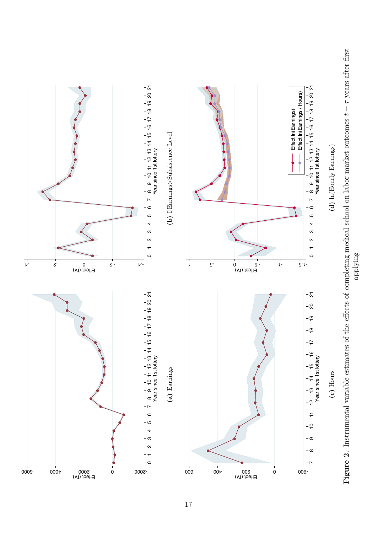applying

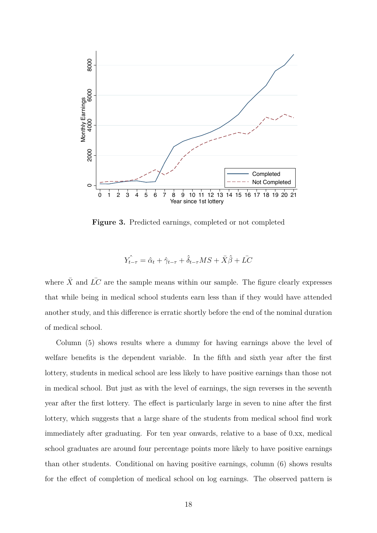

**Figure 3.** Predicted earnings, completed or not completed

$$
\hat{Y_{t-\tau}} = \hat{\alpha}_t + \hat{\gamma}_{t-\tau} + \hat{\delta}_{t-\tau} MS + \bar{X}\hat{\beta} + \bar{LC}
$$

where  $\bar{X}$  and  $\bar{L}C$  are the sample means within our sample. The figure clearly expresses that while being in medical school students earn less than if they would have attended another study, and this difference is erratic shortly before the end of the nominal duration of medical school.

Column (5) shows results where a dummy for having earnings above the level of welfare benefits is the dependent variable. In the fifth and sixth year after the first lottery, students in medical school are less likely to have positive earnings than those not in medical school. But just as with the level of earnings, the sign reverses in the seventh year after the first lottery. The effect is particularly large in seven to nine after the first lottery, which suggests that a large share of the students from medical school find work immediately after graduating. For ten year onwards, relative to a base of 0.xx, medical school graduates are around four percentage points more likely to have positive earnings than other students. Conditional on having positive earnings, column (6) shows results for the effect of completion of medical school on log earnings. The observed pattern is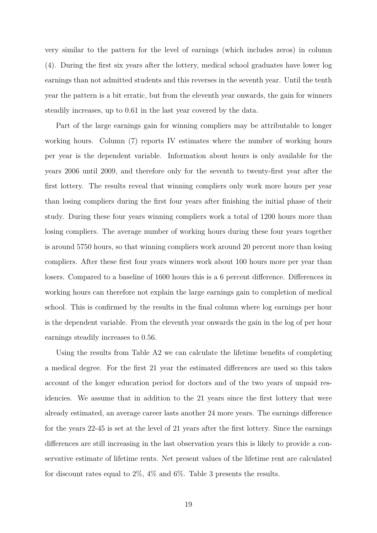very similar to the pattern for the level of earnings (which includes zeros) in column (4). During the first six years after the lottery, medical school graduates have lower log earnings than not admitted students and this reverses in the seventh year. Until the tenth year the pattern is a bit erratic, but from the eleventh year onwards, the gain for winners steadily increases, up to 0.61 in the last year covered by the data.

Part of the large earnings gain for winning compliers may be attributable to longer working hours. Column (7) reports IV estimates where the number of working hours per year is the dependent variable. Information about hours is only available for the years 2006 until 2009, and therefore only for the seventh to twenty-first year after the first lottery. The results reveal that winning compliers only work more hours per year than losing compliers during the first four years after finishing the initial phase of their study. During these four years winning compliers work a total of 1200 hours more than losing compliers. The average number of working hours during these four years together is around 5750 hours, so that winning compliers work around 20 percent more than losing compliers. After these first four years winners work about 100 hours more per year than losers. Compared to a baseline of 1600 hours this is a 6 percent difference. Differences in working hours can therefore not explain the large earnings gain to completion of medical school. This is confirmed by the results in the final column where log earnings per hour is the dependent variable. From the eleventh year onwards the gain in the log of per hour earnings steadily increases to 0.56.

Using the results from Table A2 we can calculate the lifetime benefits of completing a medical degree. For the first 21 year the estimated differences are used so this takes account of the longer education period for doctors and of the two years of unpaid residencies. We assume that in addition to the 21 years since the first lottery that were already estimated, an average career lasts another 24 more years. The earnings difference for the years 22-45 is set at the level of 21 years after the first lottery. Since the earnings differences are still increasing in the last observation years this is likely to provide a conservative estimate of lifetime rents. Net present values of the lifetime rent are calculated for discount rates equal to 2%, 4% and 6%. Table 3 presents the results.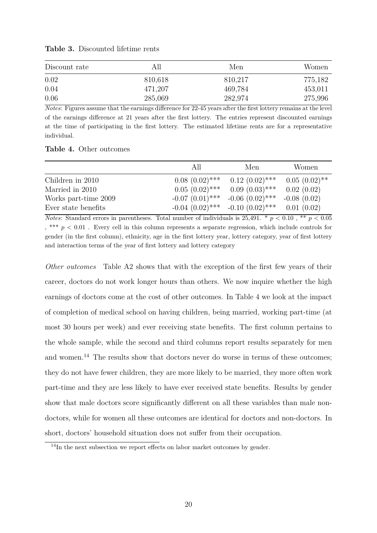| Discount rate |         | Men     | Women   |
|---------------|---------|---------|---------|
| 0.02          | 810,618 | 810,217 | 775,182 |
| 0.04          | 471,207 | 469,784 | 453,011 |
| 0.06          | 285,069 | 282,974 | 275,996 |

**Table 3.** Discounted lifetime rents

*Notes*: Figures assume that the earnings difference for 22-45 years after the first lottery remains at the level of the earnings difference at 21 years after the first lottery. The entries represent discounted earnings at the time of participating in the first lottery. The estimated lifetime rents are for a representative individual.

|                      | All                  | Men                  | Women           |
|----------------------|----------------------|----------------------|-----------------|
| Children in 2010     | $0.08(0.02)$ ***     | $0.12(0.02)$ ***     | $0.05(0.02)$ ** |
| Married in 2010      | $0.05(0.02)$ ***     | $0.09(0.03)$ ***     | 0.02(0.02)      |
| Works part-time 2009 | $-0.07$ $(0.01)$ *** | $-0.06$ $(0.02)$ *** | $-0.08(0.02)$   |
| Ever state benefits  | $-0.04$ $(0.02)$ *** | $-0.10(0.02)$ ***    | 0.01(0.02)      |

*Notes*: Standard errors in parentheses. Total number of individuals is  $25,491. * p < 0.10$ , \*\*  $p < 0.05$  $,*** p < 0.01$ . Every cell in this column represents a separate regression, which include controls for gender (in the first column), ethnicity, age in the first lottery year, lottery category, year of first lottery and interaction terms of the year of first lottery and lottery category

*Other outcomes* Table A2 shows that with the exception of the first few years of their career, doctors do not work longer hours than others. We now inquire whether the high earnings of doctors come at the cost of other outcomes. In Table 4 we look at the impact of completion of medical school on having children, being married, working part-time (at most 30 hours per week) and ever receiving state benefits. The first column pertains to the whole sample, while the second and third columns report results separately for men and women.<sup>14</sup> The results show that doctors never do worse in terms of these outcomes; they do not have fewer children, they are more likely to be married, they more often work part-time and they are less likely to have ever received state benefits. Results by gender show that male doctors score significantly different on all these variables than male nondoctors, while for women all these outcomes are identical for doctors and non-doctors. In short, doctors' household situation does not suffer from their occupation.

 $14$ In the next subsection we report effects on labor market outcomes by gender.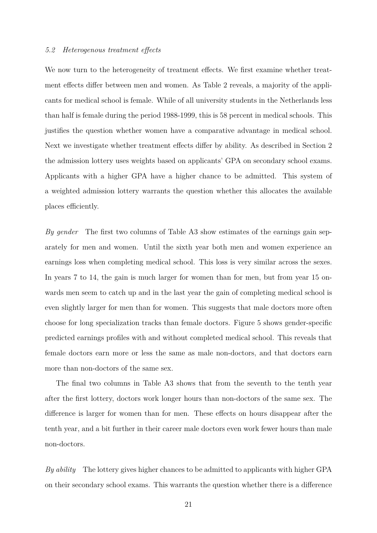#### *5.2 Heterogenous treatment eects*

We now turn to the heterogeneity of treatment effects. We first examine whether treatment effects differ between men and women. As Table 2 reveals, a majority of the applicants for medical school is female. While of all university students in the Netherlands less than half is female during the period 1988-1999, this is 58 percent in medical schools. This justifies the question whether women have a comparative advantage in medical school. Next we investigate whether treatment effects differ by ability. As described in Section 2 the admission lottery uses weights based on applicants' GPA on secondary school exams. Applicants with a higher GPA have a higher chance to be admitted. This system of a weighted admission lottery warrants the question whether this allocates the available places efficiently.

*By gender* The first two columns of Table A3 show estimates of the earnings gain separately for men and women. Until the sixth year both men and women experience an earnings loss when completing medical school. This loss is very similar across the sexes. In years 7 to 14, the gain is much larger for women than for men, but from year 15 onwards men seem to catch up and in the last year the gain of completing medical school is even slightly larger for men than for women. This suggests that male doctors more often choose for long specialization tracks than female doctors. Figure 5 shows gender-specific predicted earnings profiles with and without completed medical school. This reveals that female doctors earn more or less the same as male non-doctors, and that doctors earn more than non-doctors of the same sex.

The final two columns in Table A3 shows that from the seventh to the tenth year after the first lottery, doctors work longer hours than non-doctors of the same sex. The difference is larger for women than for men. These effects on hours disappear after the tenth year, and a bit further in their career male doctors even work fewer hours than male non-doctors.

*By ability* The lottery gives higher chances to be admitted to applicants with higher GPA on their secondary school exams. This warrants the question whether there is a difference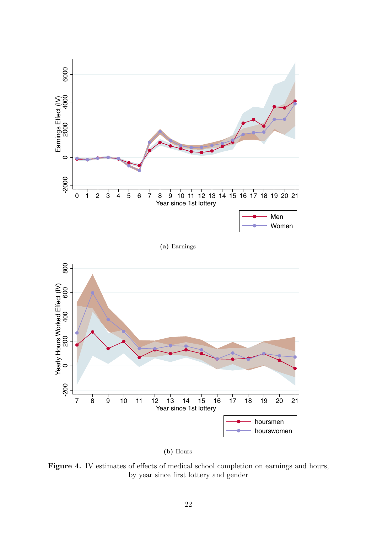

Figure 4. IV estimates of effects of medical school completion on earnings and hours, by year since first lottery and gender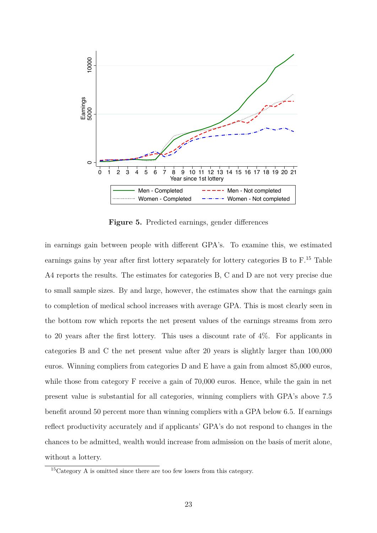

**Figure 5.** Predicted earnings, gender differences

in earnings gain between people with different GPA's. To examine this, we estimated earnings gains by year after first lottery separately for lottery categories B to F.<sup>15</sup> Table A4 reports the results. The estimates for categories B, C and D are not very precise due to small sample sizes. By and large, however, the estimates show that the earnings gain to completion of medical school increases with average GPA. This is most clearly seen in the bottom row which reports the net present values of the earnings streams from zero to 20 years after the first lottery. This uses a discount rate of 4%. For applicants in categories B and C the net present value after 20 years is slightly larger than 100,000 euros. Winning compliers from categories D and E have a gain from almost 85,000 euros, while those from category F receive a gain of 70,000 euros. Hence, while the gain in net present value is substantial for all categories, winning compliers with GPA's above 7.5 benefit around 50 percent more than winning compliers with a GPA below 6.5. If earnings reflect productivity accurately and if applicants' GPA's do not respond to changes in the chances to be admitted, wealth would increase from admission on the basis of merit alone, without a lottery.

<sup>15</sup>Category A is omitted since there are too few losers from this category.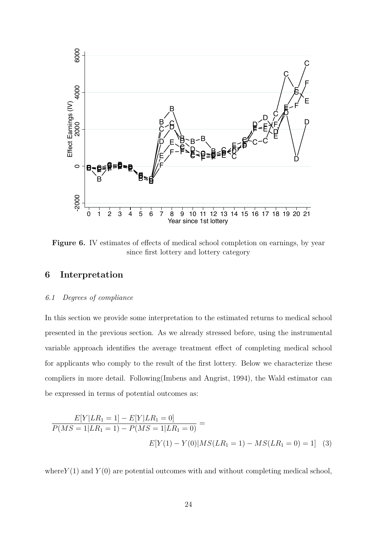

**Figure 6.** IV estimates of effects of medical school completion on earnings, by year since first lottery and lottery category

# **6 Interpretation**

# *6.1 Degrees of compliance*

In this section we provide some interpretation to the estimated returns to medical school presented in the previous section. As we already stressed before, using the instrumental variable approach identifies the average treatment effect of completing medical school for applicants who comply to the result of the first lottery. Below we characterize these compliers in more detail. Following(Imbens and Angrist, 1994), the Wald estimator can be expressed in terms of potential outcomes as:

$$
\frac{E[Y|LR_1=1]-E[Y|LR_1=0]}{P(MS=1|LR_1=1)-P(MS=1|LR_1=0)} =
$$
  

$$
E[Y(1)-Y(0)|MS(LR_1=1)-MS(LR_1=0)=1]
$$
 (3)

where  $Y(1)$  and  $Y(0)$  are potential outcomes with and without completing medical school,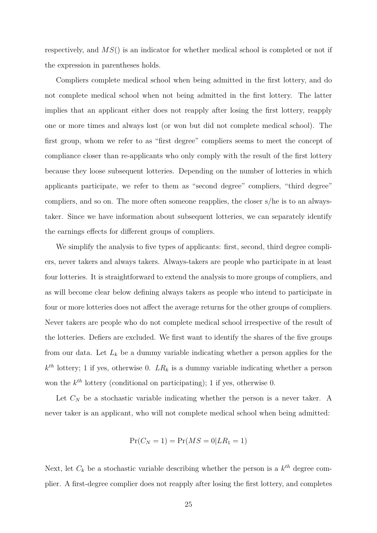respectively, and *MS*() is an indicator for whether medical school is completed or not if the expression in parentheses holds.

Compliers complete medical school when being admitted in the first lottery, and do not complete medical school when not being admitted in the first lottery. The latter implies that an applicant either does not reapply after losing the first lottery, reapply one or more times and always lost (or won but did not complete medical school). The first group, whom we refer to as "first degree" compliers seems to meet the concept of compliance closer than re-applicants who only comply with the result of the first lottery because they loose subsequent lotteries. Depending on the number of lotteries in which applicants participate, we refer to them as "second degree" compliers, "third degree" compliers, and so on. The more often someone reapplies, the closer s/he is to an alwaystaker. Since we have information about subsequent lotteries, we can separately identify the earnings effects for different groups of compliers.

We simplify the analysis to five types of applicants: first, second, third degree compliers, never takers and always takers. Always-takers are people who participate in at least four lotteries. It is straightforward to extend the analysis to more groups of compliers, and as will become clear below defining always takers as people who intend to participate in four or more lotteries does not affect the average returns for the other groups of compliers. Never takers are people who do not complete medical school irrespective of the result of the lotteries. Defiers are excluded. We first want to identify the shares of the five groups from our data. Let  $L_k$  be a dummy variable indicating whether a person applies for the  $k^{th}$  lottery; 1 if yes, otherwise 0.  $LR_k$  is a dummy variable indicating whether a person won the *kth* lottery (conditional on participating); 1 if yes, otherwise 0.

Let  $C_N$  be a stochastic variable indicating whether the person is a never taker. A never taker is an applicant, who will not complete medical school when being admitted:

$$
Pr(C_N = 1) = Pr(MS = 0|LR_1 = 1)
$$

Next, let  $C_k$  be a stochastic variable describing whether the person is a  $k^{th}$  degree complier. A first-degree complier does not reapply after losing the first lottery, and completes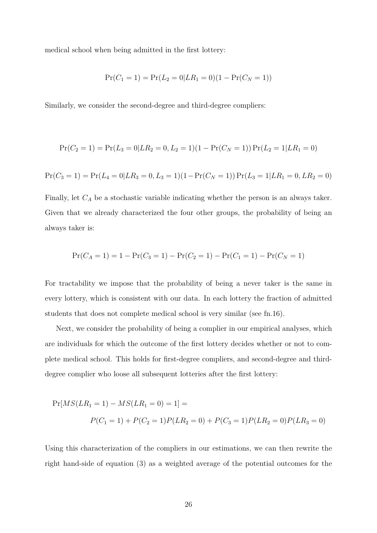medical school when being admitted in the first lottery:

$$
Pr(C_1 = 1) = Pr(L_2 = 0|LR_1 = 0)(1 - Pr(C_N = 1))
$$

Similarly, we consider the second-degree and third-degree compliers:

$$
Pr(C_2 = 1) = Pr(L_3 = 0|LR_2 = 0, L_2 = 1)(1 - Pr(C_N = 1)) Pr(L_2 = 1|LR_1 = 0)
$$

$$
Pr(C_3 = 1) = Pr(L_4 = 0|LR_3 = 0, L_3 = 1)(1 - Pr(C_N = 1)) Pr(L_3 = 1|LR_1 = 0, LR_2 = 0)
$$

Finally, let *C<sup>A</sup>* be a stochastic variable indicating whether the person is an always taker. Given that we already characterized the four other groups, the probability of being an always taker is:

$$
Pr(C_A = 1) = 1 - Pr(C_3 = 1) - Pr(C_2 = 1) - Pr(C_1 = 1) - Pr(C_N = 1)
$$

For tractability we impose that the probability of being a never taker is the same in every lottery, which is consistent with our data. In each lottery the fraction of admitted students that does not complete medical school is very similar (see fn.16).

Next, we consider the probability of being a complier in our empirical analyses, which are individuals for which the outcome of the first lottery decides whether or not to complete medical school. This holds for first-degree compliers, and second-degree and thirddegree complier who loose all subsequent lotteries after the first lottery:

$$
Pr[MS(LR_1 = 1) - MS(LR_1 = 0) = 1] =
$$
  
 
$$
P(C_1 = 1) + P(C_2 = 1)P(LR_2 = 0) + P(C_3 = 1)P(LR_2 = 0)P(LR_3 = 0)
$$

Using this characterization of the compliers in our estimations, we can then rewrite the right hand-side of equation (3) as a weighted average of the potential outcomes for the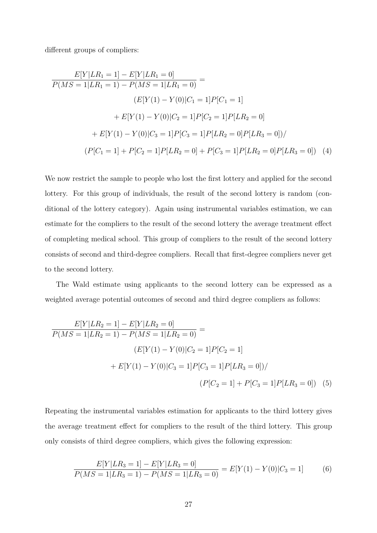different groups of compliers:

$$
\frac{E[Y|LR_1 = 1] - E[Y|LR_1 = 0]}{P(MS = 1|LR_1 = 1) - P(MS = 1|LR_1 = 0)} =
$$
\n
$$
(E[Y(1) - Y(0)|C_1 = 1]P[C_1 = 1]
$$
\n
$$
+ E[Y(1) - Y(0)|C_2 = 1]P[C_2 = 1]P[LR_2 = 0]
$$
\n
$$
+ E[Y(1) - Y(0)|C_3 = 1]P[C_3 = 1]P[LR_2 = 0]P[LR_3 = 0]) /
$$
\n
$$
(P[C_1 = 1] + P[C_2 = 1]P[LR_2 = 0] + P[C_3 = 1]P[LR_2 = 0]P[LR_3 = 0]) \tag{4}
$$

We now restrict the sample to people who lost the first lottery and applied for the second lottery. For this group of individuals, the result of the second lottery is random (conditional of the lottery category). Again using instrumental variables estimation, we can estimate for the compliers to the result of the second lottery the average treatment effect of completing medical school. This group of compliers to the result of the second lottery consists of second and third-degree compliers. Recall that first-degree compliers never get to the second lottery.

The Wald estimate using applicants to the second lottery can be expressed as a weighted average potential outcomes of second and third degree compliers as follows:

$$
\frac{E[Y|LR_2=1]-E[Y|LR_2=0]}{P(MS=1|LR_2=1)-P(MS=1|LR_2=0)} =
$$
\n
$$
(E[Y(1)-Y(0)|C_2=1]P[C_2=1]
$$
\n
$$
+E[Y(1)-Y(0)|C_3=1]P[C_3=1]P[LR_3=0]) /
$$
\n
$$
(P[C_2=1]+P[C_3=1]P[LR_3=0]) \quad (5)
$$

Repeating the instrumental variables estimation for applicants to the third lottery gives the average treatment effect for compliers to the result of the third lottery. This group only consists of third degree compliers, which gives the following expression:

$$
\frac{E[Y|LR_3=1]-E[Y|LR_3=0]}{P(MS=1|LR_3=1)-P(MS=1|LR_3=0)}=E[Y(1)-Y(0)|C_3=1]
$$
(6)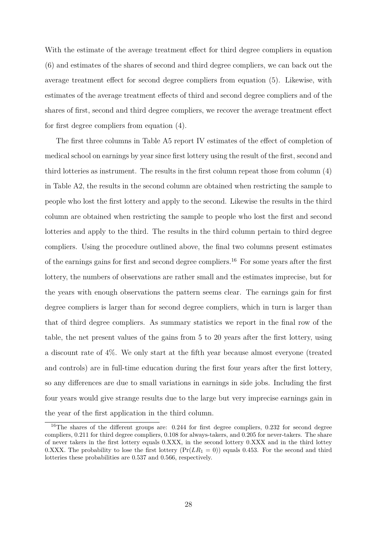With the estimate of the average treatment effect for third degree compliers in equation (6) and estimates of the shares of second and third degree compliers, we can back out the average treatment effect for second degree compliers from equation  $(5)$ . Likewise, with estimates of the average treatment effects of third and second degree compliers and of the shares of first, second and third degree compliers, we recover the average treatment effect for first degree compliers from equation (4).

The first three columns in Table A5 report IV estimates of the effect of completion of medical school on earnings by year since first lottery using the result of the first, second and third lotteries as instrument. The results in the first column repeat those from column (4) in Table A2, the results in the second column are obtained when restricting the sample to people who lost the first lottery and apply to the second. Likewise the results in the third column are obtained when restricting the sample to people who lost the first and second lotteries and apply to the third. The results in the third column pertain to third degree compliers. Using the procedure outlined above, the final two columns present estimates of the earnings gains for first and second degree compliers.<sup>16</sup> For some years after the first lottery, the numbers of observations are rather small and the estimates imprecise, but for the years with enough observations the pattern seems clear. The earnings gain for first degree compliers is larger than for second degree compliers, which in turn is larger than that of third degree compliers. As summary statistics we report in the final row of the table, the net present values of the gains from 5 to 20 years after the first lottery, using a discount rate of 4%. We only start at the fifth year because almost everyone (treated and controls) are in full-time education during the first four years after the first lottery, so any differences are due to small variations in earnings in side jobs. Including the first four years would give strange results due to the large but very imprecise earnings gain in the year of the first application in the third column.

 $16$ The shares of the different groups are: 0.244 for first degree compliers, 0.232 for second degree compliers, 0.211 for third degree compliers, 0.108 for always-takers, and 0.205 for never-takers. The share of never takers in the first lottery equals 0.XXX, in the second lottery 0.XXX and in the third lottey 0.XXX. The probability to lose the first lottery  $(Pr(LR_1 = 0))$  equals 0.453. For the second and third lotteries these probabilities are 0.537 and 0.566, respectively.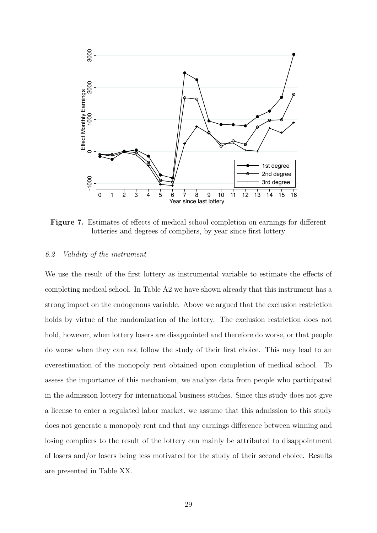

**Figure 7.** Estimates of effects of medical school completion on earnings for different lotteries and degrees of compliers, by year since first lottery

#### *6.2 Validity of the instrument*

We use the result of the first lottery as instrumental variable to estimate the effects of completing medical school. In Table A2 we have shown already that this instrument has a strong impact on the endogenous variable. Above we argued that the exclusion restriction holds by virtue of the randomization of the lottery. The exclusion restriction does not hold, however, when lottery losers are disappointed and therefore do worse, or that people do worse when they can not follow the study of their first choice. This may lead to an overestimation of the monopoly rent obtained upon completion of medical school. To assess the importance of this mechanism, we analyze data from people who participated in the admission lottery for international business studies. Since this study does not give a license to enter a regulated labor market, we assume that this admission to this study does not generate a monopoly rent and that any earnings difference between winning and losing compliers to the result of the lottery can mainly be attributed to disappointment of losers and/or losers being less motivated for the study of their second choice. Results are presented in Table XX.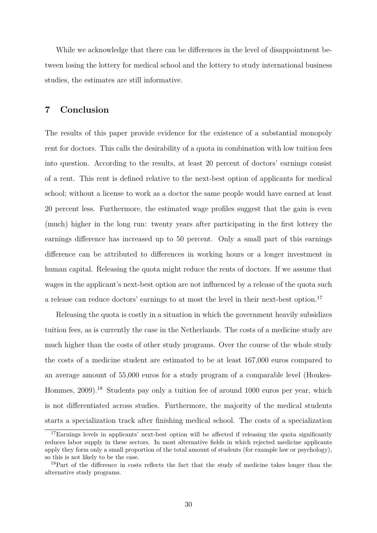While we acknowledge that there can be differences in the level of disappointment between losing the lottery for medical school and the lottery to study international business studies, the estimates are still informative.

# **7 Conclusion**

The results of this paper provide evidence for the existence of a substantial monopoly rent for doctors. This calls the desirability of a quota in combination with low tuition fees into question. According to the results, at least 20 percent of doctors' earnings consist of a rent. This rent is defined relative to the next-best option of applicants for medical school; without a license to work as a doctor the same people would have earned at least 20 percent less. Furthermore, the estimated wage profiles suggest that the gain is even (much) higher in the long run: twenty years after participating in the first lottery the earnings difference has increased up to 50 percent. Only a small part of this earnings difference can be attributed to differences in working hours or a longer investment in human capital. Releasing the quota might reduce the rents of doctors. If we assume that wages in the applicant's next-best option are not influenced by a release of the quota such a release can reduce doctors' earnings to at most the level in their next-best option.<sup>17</sup>

Releasing the quota is costly in a situation in which the government heavily subsidizes tuition fees, as is currently the case in the Netherlands. The costs of a medicine study are much higher than the costs of other study programs. Over the course of the whole study the costs of a medicine student are estimated to be at least 167,000 euros compared to an average amount of 55,000 euros for a study program of a comparable level (Houkes-Hommes, 2009).<sup>18</sup> Students pay only a tuition fee of around 1000 euros per year, which is not differentiated across studies. Furthermore, the majority of the medical students starts a specialization track after finishing medical school. The costs of a specialization

<sup>&</sup>lt;sup>17</sup>Earnings levels in applicants' next-best option will be affected if releasing the quota significantly reduces labor supply in these sectors. In most alternative fields in which rejected medicine applicants apply they form only a small proportion of the total amount of students (for example law or psychology), so this is not likely to be the case.

 $18$ Part of the difference in costs reflects the fact that the study of medicine takes longer than the alternative study programs.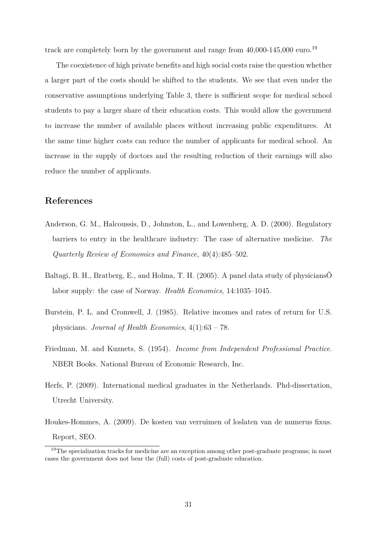track are completely born by the government and range from 40,000-145,000 euro.<sup>19</sup>

The coexistence of high private benefits and high social costs raise the question whether a larger part of the costs should be shifted to the students. We see that even under the conservative assumptions underlying Table 3, there is sufficient scope for medical school students to pay a larger share of their education costs. This would allow the government to increase the number of available places without increasing public expenditures. At the same time higher costs can reduce the number of applicants for medical school. An increase in the supply of doctors and the resulting reduction of their earnings will also reduce the number of applicants.

# **References**

- Anderson, G. M., Halcoussis, D., Johnston, L., and Lowenberg, A. D. (2000). Regulatory barriers to entry in the healthcare industry: The case of alternative medicine. *The Quarterly Review of Economics and Finance*, 40(4):485–502.
- Baltagi, B. H., Bratberg, E., and Holma, T. H. (2005). A panel data study of physiciansÕ labor supply: the case of Norway. *Health Economics*, 14:1035–1045.
- Burstein, P. L. and Cromwell, J. (1985). Relative incomes and rates of return for U.S. physicians. *Journal of Health Economics*, 4(1):63 – 78.
- Friedman, M. and Kuznets, S. (1954). *Income from Independent Professional Practice*. NBER Books. National Bureau of Economic Research, Inc.
- Herfs, P. (2009). International medical graduates in the Netherlands. Phd-dissertation, Utrecht University.
- Houkes-Hommes, A. (2009). De kosten van verruimen of loslaten van de numerus fixus. Report, SEO.

<sup>&</sup>lt;sup>19</sup>The specialization tracks for medicine are an exception among other post-graduate programs; in most cases the government does not bear the (full) costs of post-graduate education.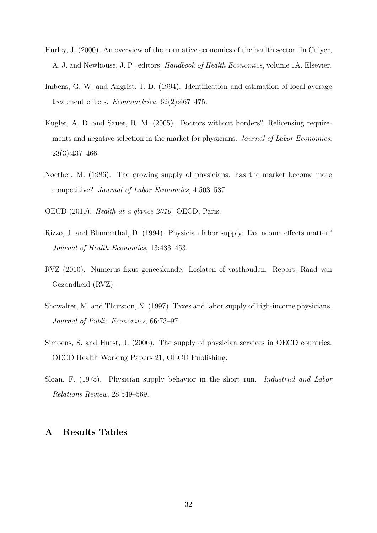- Hurley, J. (2000). An overview of the normative economics of the health sector. In Culyer, A. J. and Newhouse, J. P., editors, *Handbook of Health Economics*, volume 1A. Elsevier.
- Imbens, G. W. and Angrist, J. D. (1994). Identification and estimation of local average treatment effects. *Econometrica*,  $62(2):467-475$ .
- Kugler, A. D. and Sauer, R. M. (2005). Doctors without borders? Relicensing requirements and negative selection in the market for physicians. *Journal of Labor Economics*, 23(3):437–466.
- Noether, M. (1986). The growing supply of physicians: has the market become more competitive? *Journal of Labor Economics*, 4:503–537.

OECD (2010). *Health at a glance 2010*. OECD, Paris.

- Rizzo, J. and Blumenthal, D. (1994). Physician labor supply: Do income effects matter? *Journal of Health Economics*, 13:433–453.
- RVZ (2010). Numerus fixus geneeskunde: Loslaten of vasthouden. Report, Raad van Gezondheid (RVZ).
- Showalter, M. and Thurston, N. (1997). Taxes and labor supply of high-income physicians. *Journal of Public Economics*, 66:73–97.
- Simoens, S. and Hurst, J. (2006). The supply of physician services in OECD countries. OECD Health Working Papers 21, OECD Publishing.
- Sloan, F. (1975). Physician supply behavior in the short run. *Industrial and Labor Relations Review*, 28:549–569.

# **A Results Tables**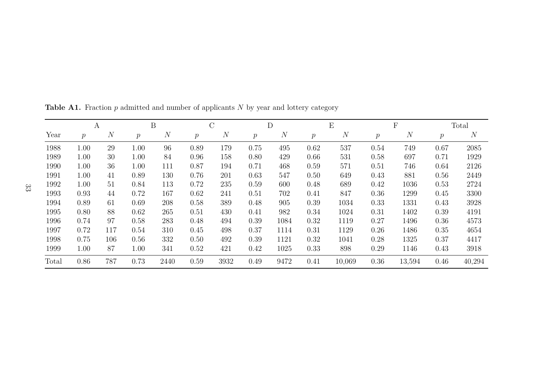|       | А             |                |         | $\boldsymbol{B}$ |               | $\overline{\rm C}$ |               | $\mathbf{D}$ |               | E       |         | $\boldsymbol{\mathrm{F}}$ |               | Total  |
|-------|---------------|----------------|---------|------------------|---------------|--------------------|---------------|--------------|---------------|---------|---------|---------------------------|---------------|--------|
| Year  | $\mathcal{P}$ | $\overline{N}$ | $\,p\,$ | $\overline{N}$   | $\mathcal{p}$ | $\mathcal{N}$      | $\mathcal{p}$ | N            | $\mathcal{p}$ | $\it N$ | $\,p\,$ | $\boldsymbol{N}$          | $\mathcal{p}$ | N      |
| 1988  | 1.00          | 29             | 1.00    | 96               | 0.89          | 179                | 0.75          | 495          | 0.62          | 537     | 0.54    | 749                       | 0.67          | 2085   |
| 1989  | 1.00          | 30             | 1.00    | 84               | 0.96          | 158                | 0.80          | 429          | 0.66          | 531     | 0.58    | 697                       | 0.71          | 1929   |
| 1990  | 1.00          | 36             | 1.00    | 111              | 0.87          | 194                | 0.71          | 468          | 0.59          | 571     | 0.51    | 746                       | 0.64          | 2126   |
| 1991  | 1.00          | 41             | 0.89    | 130              | 0.76          | 201                | 0.63          | 547          | 0.50          | 649     | 0.43    | 881                       | 0.56          | 2449   |
| 1992  | 1.00          | 51             | 0.84    | 113              | 0.72          | 235                | 0.59          | 600          | 0.48          | 689     | 0.42    | 1036                      | 0.53          | 2724   |
| 1993  | 0.93          | 44             | 0.72    | 167              | 0.62          | 241                | 0.51          | 702          | 0.41          | 847     | 0.36    | 1299                      | 0.45          | 3300   |
| 1994  | 0.89          | 61             | 0.69    | 208              | 0.58          | 389                | 0.48          | 905          | 0.39          | 1034    | 0.33    | 1331                      | 0.43          | 3928   |
| 1995  | 0.80          | 88             | 0.62    | 265              | 0.51          | 430                | 0.41          | 982          | 0.34          | 1024    | 0.31    | 1402                      | 0.39          | 4191   |
| 1996  | 0.74          | 97             | 0.58    | 283              | 0.48          | 494                | 0.39          | 1084         | 0.32          | 1119    | 0.27    | 1496                      | 0.36          | 4573   |
| 1997  | 0.72          | 117            | 0.54    | 310              | 0.45          | 498                | 0.37          | 1114         | 0.31          | 1129    | 0.26    | 1486                      | 0.35          | 4654   |
| 1998  | 0.75          | 106            | 0.56    | 332              | 0.50          | 492                | 0.39          | 1121         | 0.32          | 1041    | 0.28    | 1325                      | 0.37          | 4417   |
| 1999  | 1.00          | 87             | 1.00    | 341              | 0.52          | 421                | 0.42          | 1025         | 0.33          | 898     | 0.29    | 1146                      | 0.43          | 3918   |
| Total | 0.86          | 787            | 0.73    | 2440             | 0.59          | 3932               | 0.49          | 9472         | 0.41          | 10,069  | 0.36    | 13,594                    | 0.46          | 40,294 |

**Table A1.** Fraction *p* admitted and number of applicants *N* by year and lottery category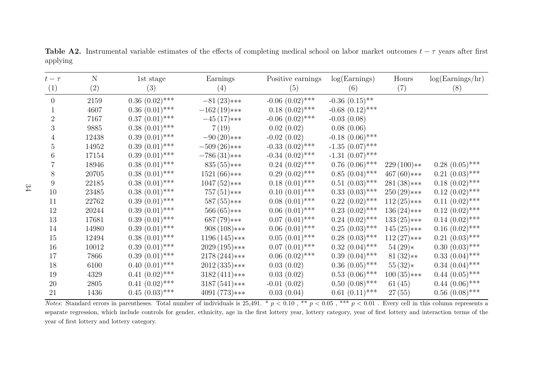| $t-\tau$       | N     | 1st stage         | Earnings        | Positive earnings    | log(Earnings)        | Hours         | log(Earnings/hr)    |
|----------------|-------|-------------------|-----------------|----------------------|----------------------|---------------|---------------------|
| (1)            | (2)   | (3)               | (4)             | (5)                  | (6)                  | (7)           | (8)                 |
| $\overline{0}$ | 2159  | $0.36~(0.02)$ *** | $-81(23)$ ***   | $-0.06$ $(0.02)$ *** | $-0.36$ $(0.15)$ **  |               |                     |
|                | 4607  | $0.36(0.01)$ ***  | $-162(19)***$   | $0.18(0.02)$ ***     | $-0.68$ $(0.12)$ *** |               |                     |
| $\overline{2}$ | 7167  | $0.37~(0.01)$ *** | $-45(17)***$    | $-0.06$ $(0.02)$ *** | $-0.03(0.08)$        |               |                     |
| 3              | 9885  | $0.38(0.01)$ ***  | 7(19)           | 0.02(0.02)           | 0.08(0.06)           |               |                     |
| 4              | 12438 | $0.39(0.01)$ ***  | $-90(20)***$    | $-0.02(0.02)$        | $-0.18$ $(0.06)$ *** |               |                     |
| 5              | 14952 | $0.39(0.01)$ ***  | $-509(26)$ ***  | $-0.33$ $(0.02)$ *** | $-1.35$ $(0.07)$ *** |               |                     |
| 6              | 17154 | $0.39(0.01)$ ***  | $-786(31)$ ***  | $-0.34$ $(0.02)$ *** | $-1.31$ $(0.07)$ *** |               |                     |
|                | 18946 | $0.38(0.01)$ ***  | $835(55)****$   | $0.24~(0.02)$ ***    | $0.76(0.06)$ ***     | $229(100)**$  | $0.28$ $(0.05)$ *** |
| 8              | 20705 | $0.38(0.01)$ ***  | $1521(66)$ ***  | $0.29(0.02)$ ***     | $0.85(0.04)$ ***     | $467(60)$ *** | $0.21~(0.03)$ ***   |
| 9              | 22185 | $0.38(0.01)$ ***  | $1047(52)***$   | $0.18(0.01)$ ***     | $0.51~(0.03)$ ***    | $281(38)$ *** | $0.18(0.02)$ ***    |
| 10             | 23485 | $0.38(0.01)$ ***  | $757(51)$ ***   | $0.10~(0.01)$ ***    | $0.33(0.03)$ ***     | $250(29)$ *** | $0.12~(0.02)$ ***   |
| 11             | 22762 | $0.39(0.01)$ ***  | $587(55)***$    | $0.08(0.01)$ ***     | $0.22~(0.02)$ ***    | $112(25)***$  | $0.11~(0.02)$ ***   |
| 12             | 20244 | $0.39(0.01)$ ***  | $566(65)$ ***   | $0.06(0.01)$ ***     | $0.23$ $(0.02)$ ***  | $136(24)$ *** | $0.12~(0.02)$ ***   |
| 13             | 17681 | $0.39(0.01)$ ***  | $687(79)$ ***   | $0.07~(0.01)$ ***    | $0.24~(0.02)$ ***    | $133(25)***$  | $0.14~(0.02)$ ***   |
| 14             | 14980 | $0.39(0.01)$ ***  | $908(108)***$   | $0.06(0.01)$ ***     | $0.25(0.03)$ ***     | $145(25)***$  | $0.16(0.02)$ ***    |
| 15             | 12494 | $0.38(0.01)$ ***  | $1196(145)***$  | $0.05(0.01)$ ***     | $0.28~(0.03)$ ***    | $112(27)***$  | $0.21~(0.03)$ ***   |
| 16             | 10012 | $0.39(0.01)$ ***  | $2029(195)***$  | $0.07~(0.01)$ ***    | $0.32~(0.04)$ ***    | $54(29)*$     | $0.30(0.03)$ ***    |
| 17             | 7866  | $0.39(0.01)$ ***  | $2178(244)$ *** | $0.06~(0.02)$ ***    | $0.39(0.04)$ ***     | $81(32)**$    | $0.33(0.04)$ ***    |
| 18             | 6100  | $0.40~(0.01)$ *** | $2012(335)****$ | 0.03(0.02)           | $0.36(0.05)$ ***     | $55(32)*$     | $0.34~(0.04)$ ***   |
| 19             | 4329  | $0.41~(0.02)$ *** | $3182(411)***$  | 0.03(0.02)           | $0.53$ $(0.06)$ ***  | $100(35)****$ | $0.44~(0.05)$ ***   |
| 20             | 2805  | $0.41~(0.02)$ *** | $3187(541)$ *** | $-0.01(0.02)$        | $0.50~(0.08)$ ***    | 61(45)        | $0.44~(0.06)$ ***   |
| 21             | 1436  | $0.45~(0.03)$ *** | $4091(773)***$  | 0.03(0.04)           | $0.61~(0.11)$ ***    | 27(55)        | $0.56$ $(0.08)$ *** |

**Table A2.** Instrumental variable estimates of the effects of completing medical school on labor market outcomes  $t - \tau$  years after first applying

*Notes*: Standard errors in parentheses. Total number of individuals is 25,491. \* *p <* 0*.*10 , \*\* *p <* 0*.*05 , \*\*\* *p <* 0*.*01 . Every cell in this column represents a separate regression, which include controls for gender, ethnicity, age in the first lottery year, lottery category, year of first lottery and interaction terms of the year of first lottery and lottery category.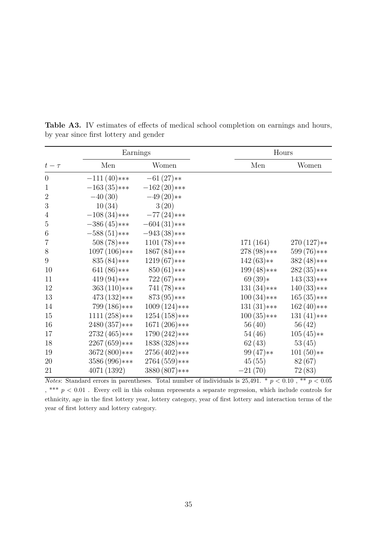|                | Earnings       |                 |               | Hours         |  |  |  |
|----------------|----------------|-----------------|---------------|---------------|--|--|--|
| $t-\tau$       | Men            | Women           | Men           | Women         |  |  |  |
| $\overline{0}$ | $-111(40)***$  | $-61(27)**$     |               |               |  |  |  |
| $\mathbf{1}$   | $-163(35)****$ | $-162(20)$ ***  |               |               |  |  |  |
| $\overline{2}$ | $-40(30)$      | $-49(20)**$     |               |               |  |  |  |
| 3              | 10(34)         | 3(20)           |               |               |  |  |  |
| $\overline{4}$ | $-108(34)$ *** | $-77(24)$ ***   |               |               |  |  |  |
| 5              | $-386(45)***$  | $-604(31)$ ***  |               |               |  |  |  |
| 6              | $-588(51)$ *** | $-943(38)$ ***  |               |               |  |  |  |
| 7              | $508(78)***$   | $1101(78)***$   | 171(164)      | $270(127)**$  |  |  |  |
| 8              | $1097(106)***$ | $1867(84)$ ***  | $278(98)$ *** | $599(76)***$  |  |  |  |
| 9              | $835(84)$ ***  | $1219(67)***$   | $142(63)**$   | $382(48)$ *** |  |  |  |
| 10             | $641(86)$ ***  | $850(61)$ ***   | $199(48)$ *** | $282(35)****$ |  |  |  |
| 11             | $419(94)$ ***  | $722(67)***$    | $69(39)*$     | $143(33)****$ |  |  |  |
| 12             | $363(110)***$  | $741(78)***$    | $131(34)$ *** | $140(33)****$ |  |  |  |
| 13             | $473(132)***$  | $873(95)***$    | $100(34)$ *** | $165(35)****$ |  |  |  |
| 14             | 799 (186)***   | $1009(124)$ *** | $131(31)****$ | $162(40)***$  |  |  |  |
| 15             | $1111(258)***$ | $1254(158)***$  | $100(35)****$ | $131(41)$ *** |  |  |  |
| 16             | 2480 (357)***  | $1671(206)$ *** | 56(40)        | 56(42)        |  |  |  |
| 17             | 2732 (465)***  | 1790 (242)***   | 54(46)        | $105(45)**$   |  |  |  |
| 18             | 2267 (659)***  | 1838 (328)***   | 62(43)        | 53(45)        |  |  |  |
| 19             | 3672 (800)***  | 2756 (402)***   | $99(47)**$    | $101(50)**$   |  |  |  |
| 20             | 3586 (996)***  | 2764 (559)***   | 45(55)        | 82(67)        |  |  |  |
| 21             | 4071(1392)     | 3880 (807)***   | $-21(70)$     | 72(83)        |  |  |  |

Table A3. IV estimates of effects of medical school completion on earnings and hours, by year since first lottery and gender

*Notes*: Standard errors in parentheses. Total number of individuals is  $25,491. * p < 0.10$ , \*\*  $p < 0.05$ , \*\*\* *p <* 0*.*01 . Every cell in this column represents a separate regression, which include controls for ethnicity, age in the first lottery year, lottery category, year of first lottery and interaction terms of the year of first lottery and lottery category.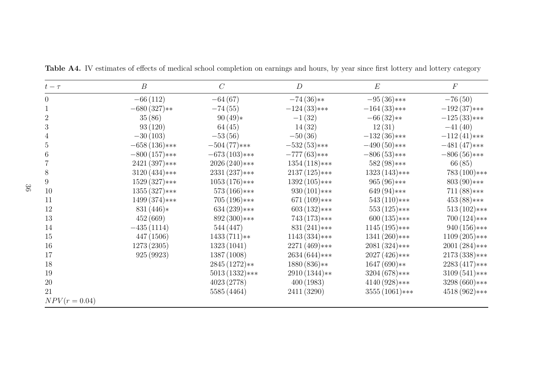| $t-\tau$        | $\boldsymbol{B}$ | $\mathcal{C}$    | $\boldsymbol{D}$ | E                | $\boldsymbol{F}$ |
|-----------------|------------------|------------------|------------------|------------------|------------------|
| $\overline{0}$  | $-66(112)$       | $-64(67)$        | $-74(36)**$      | $-95(36)***$     | $-76(50)$        |
| 1               | $-680(327)**$    | $-74(55)$        | $-124(33)****$   | $-164(33)****$   | $-192(37)***$    |
| $\overline{2}$  | 35(86)           | $90(49)*$        | $-1(32)$         | $-66(32)**$      | $-125(33)***$    |
| 3               | 93(120)          | 64(45)           | 14(32)           | 12(31)           | $-41(40)$        |
| 4               | $-30(103)$       | $-53(56)$        | $-50(36)$        | $-132(36)***$    | $-112(41)$ ***   |
| 5               | $-658(136)$ ***  | $-504(77)****$   | $-532(53)***$    | $-490(50)***$    | $-481(47)***$    |
| 6               | $-800(157)***$   | $-673(103)$ ***  | $-777(63)$ ***   | $-806(53)****$   | $-806(56)$ ***   |
|                 | $2421(397)****$  | $2026(240)***$   | $1354(118)***$   | $582(98)$ ***    | 66(85)           |
| 8               | $3120(434)$ ***  | $2331(237)****$  | $2137(125)$ ***  | $1323(143)$ ***  | $783(100)***$    |
| 9               | $1529(327)***$   | $1053(176)***$   | $1392(105)***$   | $965(96)$ ***    | $803(90)***$     |
| 10              | $1355(327)****$  | $573(166)$ ***   | $930(101)$ ***   | $649(94)$ ***    | $711(88)***$     |
| 11              | $1499(374)***$   | $705(196)$ ***   | $671(109)$ ***   | $543(110)***$    | $453(88)***$     |
| 12              | $831(446)*$      | $634(239)***$    | $603(132)***$    | $553(125)***$    | $513(102)***$    |
| 13              | 452(669)         | $892(300)***$    | $743(173)***$    | $600(135)****$   | $700(124)$ ***   |
| 14              | $-435(1114)$     | 544 (447)        | $831(241)***$    | $1145(195)***$   | $940(156)****$   |
| 15              | 447 (1506)       | $1433(711)**$    | $1143(334)$ ***  | $1341(260)***$   | $1109(205)***$   |
| 16              | 1273 (2305)      | 1323(1041)       | 2271 (469)***    | 2081 (324)***    | 2001 (284)***    |
| 17              | 925 (9923)       | 1387 (1008)      | 2634 (644)***    | 2027 (426)***    | 2173 (338)***    |
| 18              |                  | $2845(1272)**$   | $1880(836)**$    | $1647(690)**$    | 2283 (417)***    |
| 19              |                  | $5013(1332)$ *** | $2910(1344)**$   | $3204(678)***$   | $3109(541)$ ***  |
| 20              |                  | 4023 (2778)      | 400(1983)        | $4140(928)***$   | 3298 (660)***    |
| 21              |                  | 5585 (4464)      | 2411 (3290)      | $3555(1061)$ *** | 4518 (962)***    |
| $NPV(r = 0.04)$ |                  |                  |                  |                  |                  |

Table A4. IV estimates of effects of medical school completion on earnings and hours, by year since first lottery and lottery category